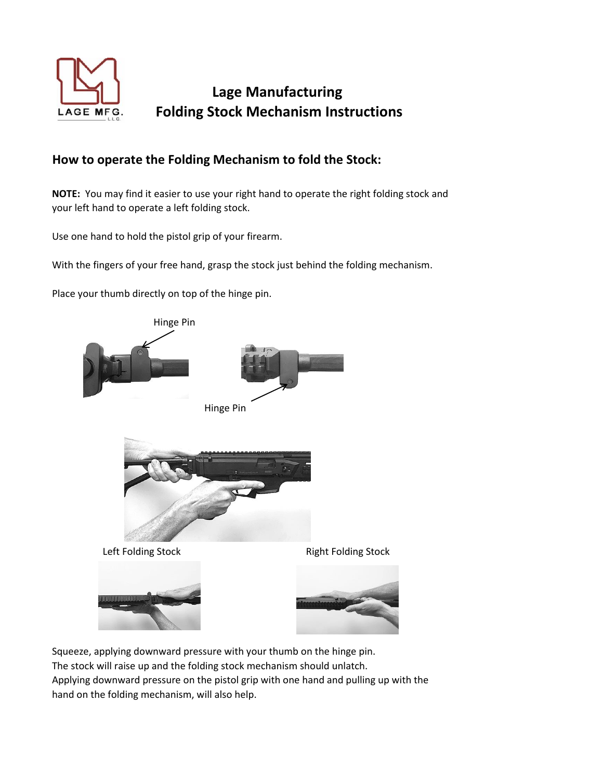

## **Lage Manufacturing Folding Stock Mechanism Instructions**

## **How to operate the Folding Mechanism to fold the Stock:**

**NOTE:** You may find it easier to use your right hand to operate the right folding stock and your left hand to operate a left folding stock.

Use one hand to hold the pistol grip of your firearm.

With the fingers of your free hand, grasp the stock just behind the folding mechanism.

Place your thumb directly on top of the hinge pin.



Squeeze, applying downward pressure with your thumb on the hinge pin. The stock will raise up and the folding stock mechanism should unlatch. Applying downward pressure on the pistol grip with one hand and pulling up with the hand on the folding mechanism, will also help.